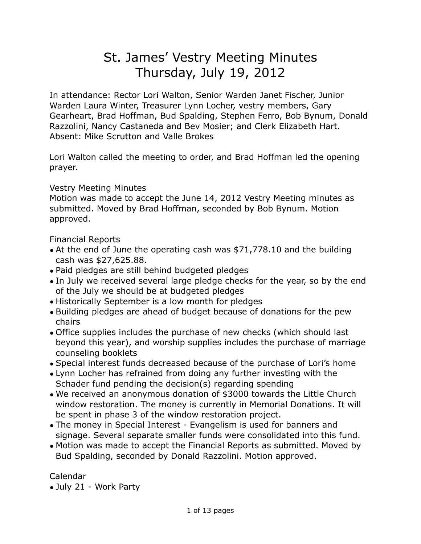# St. James' Vestry Meeting Minutes Thursday, July 19, 2012

In attendance: Rector Lori Walton, Senior Warden Janet Fischer, Junior Warden Laura Winter, Treasurer Lynn Locher, vestry members, Gary Gearheart, Brad Hoffman, Bud Spalding, Stephen Ferro, Bob Bynum, Donald Razzolini, Nancy Castaneda and Bev Mosier; and Clerk Elizabeth Hart. Absent: Mike Scrutton and Valle Brokes

Lori Walton called the meeting to order, and Brad Hoffman led the opening prayer.

Vestry Meeting Minutes

Motion was made to accept the June 14, 2012 Vestry Meeting minutes as submitted. Moved by Brad Hoffman, seconded by Bob Bynum. Motion approved.

Financial Reports

- At the end of June the operating cash was \$71,778.10 and the building cash was \$27,625.88.
- Paid pledges are still behind budgeted pledges
- In July we received several large pledge checks for the year, so by the end of the July we should be at budgeted pledges
- Historically September is a low month for pledges
- Building pledges are ahead of budget because of donations for the pew chairs
- Office supplies includes the purchase of new checks (which should last beyond this year), and worship supplies includes the purchase of marriage counseling booklets
- Special interest funds decreased because of the purchase of Lori's home
- Lynn Locher has refrained from doing any further investing with the Schader fund pending the decision(s) regarding spending
- We received an anonymous donation of \$3000 towards the Little Church window restoration. The money is currently in Memorial Donations. It will be spent in phase 3 of the window restoration project.
- The money in Special Interest Evangelism is used for banners and signage. Several separate smaller funds were consolidated into this fund.
- Motion was made to accept the Financial Reports as submitted. Moved by Bud Spalding, seconded by Donald Razzolini. Motion approved.

Calendar

• July 21 - Work Party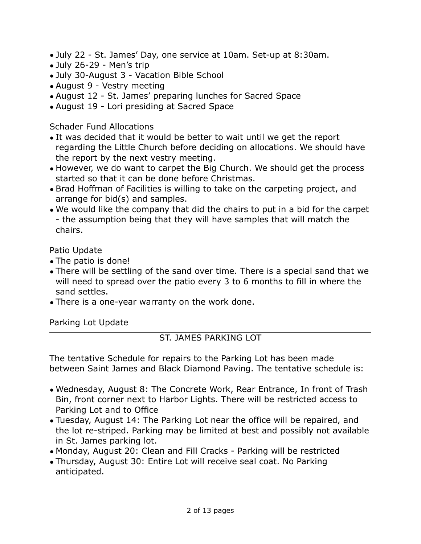- July 22 St. James' Day, one service at 10am. Set-up at 8:30am.
- July 26-29 Men's trip
- July 30-August 3 Vacation Bible School
- August 9 Vestry meeting
- August 12 St. James' preparing lunches for Sacred Space
- August 19 Lori presiding at Sacred Space

# Schader Fund Allocations

- It was decided that it would be better to wait until we get the report regarding the Little Church before deciding on allocations. We should have the report by the next vestry meeting.
- However, we do want to carpet the Big Church. We should get the process started so that it can be done before Christmas.
- Brad Hoffman of Facilities is willing to take on the carpeting project, and arrange for bid(s) and samples.
- We would like the company that did the chairs to put in a bid for the carpet - the assumption being that they will have samples that will match the chairs.

Patio Update

- The patio is done!
- There will be settling of the sand over time. There is a special sand that we will need to spread over the patio every 3 to 6 months to fill in where the sand settles.
- There is a one-year warranty on the work done.

Parking Lot Update

# ST. JAMES PARKING LOT

The tentative Schedule for repairs to the Parking Lot has been made between Saint James and Black Diamond Paving. The tentative schedule is:

- Wednesday, August 8: The Concrete Work, Rear Entrance, In front of Trash Bin, front corner next to Harbor Lights. There will be restricted access to Parking Lot and to Office
- Tuesday, August 14: The Parking Lot near the office will be repaired, and the lot re-striped. Parking may be limited at best and possibly not available in St. James parking lot.
- Monday, August 20: Clean and Fill Cracks Parking will be restricted
- Thursday, August 30: Entire Lot will receive seal coat. No Parking anticipated.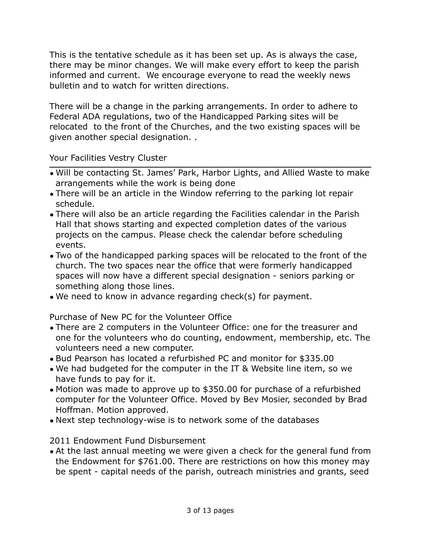This is the tentative schedule as it has been set up. As is always the case, there may be minor changes. We will make every effort to keep the parish informed and current. We encourage everyone to read the weekly news bulletin and to watch for written directions.

There will be a change in the parking arrangements. In order to adhere to Federal ADA regulations, two of the Handicapped Parking sites will be relocated to the front of the Churches, and the two existing spaces will be given another special designation. .

Your Facilities Vestry Cluster

- Will be contacting St. James' Park, Harbor Lights, and Allied Waste to make arrangements while the work is being done
- There will be an article in the Window referring to the parking lot repair schedule.
- There will also be an article regarding the Facilities calendar in the Parish Hall that shows starting and expected completion dates of the various projects on the campus. Please check the calendar before scheduling events.
- Two of the handicapped parking spaces will be relocated to the front of the church. The two spaces near the office that were formerly handicapped spaces will now have a different special designation - seniors parking or something along those lines.
- We need to know in advance regarding check(s) for payment.

Purchase of New PC for the Volunteer Office

- There are 2 computers in the Volunteer Office: one for the treasurer and one for the volunteers who do counting, endowment, membership, etc. The volunteers need a new computer.
- Bud Pearson has located a refurbished PC and monitor for \$335.00
- We had budgeted for the computer in the IT & Website line item, so we have funds to pay for it.
- Motion was made to approve up to \$350.00 for purchase of a refurbished computer for the Volunteer Office. Moved by Bev Mosier, seconded by Brad Hoffman. Motion approved.
- Next step technology-wise is to network some of the databases

2011 Endowment Fund Disbursement

• At the last annual meeting we were given a check for the general fund from the Endowment for \$761.00. There are restrictions on how this money may be spent - capital needs of the parish, outreach ministries and grants, seed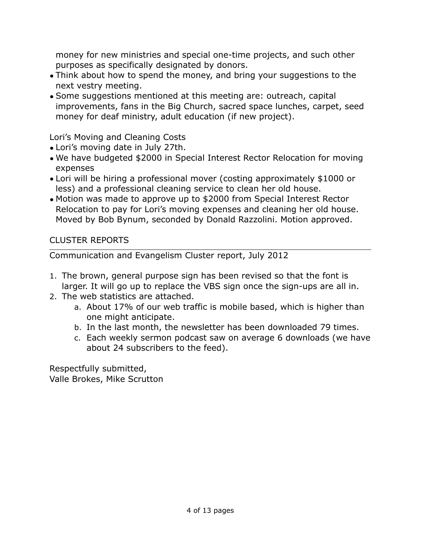money for new ministries and special one-time projects, and such other purposes as specifically designated by donors.

- Think about how to spend the money, and bring your suggestions to the next vestry meeting.
- Some suggestions mentioned at this meeting are: outreach, capital improvements, fans in the Big Church, sacred space lunches, carpet, seed money for deaf ministry, adult education (if new project).

Lori's Moving and Cleaning Costs

- Lori's moving date in July 27th.
- We have budgeted \$2000 in Special Interest Rector Relocation for moving expenses
- Lori will be hiring a professional mover (costing approximately \$1000 or less) and a professional cleaning service to clean her old house.
- Motion was made to approve up to \$2000 from Special Interest Rector Relocation to pay for Lori's moving expenses and cleaning her old house. Moved by Bob Bynum, seconded by Donald Razzolini. Motion approved.

CLUSTER REPORTS

Communication and Evangelism Cluster report, July 2012

- 1. The brown, general purpose sign has been revised so that the font is larger. It will go up to replace the VBS sign once the sign-ups are all in.
- 2. The web statistics are attached.
	- a. About 17% of our web traffic is mobile based, which is higher than one might anticipate.
	- b. In the last month, the newsletter has been downloaded 79 times.
	- c. Each weekly sermon podcast saw on average 6 downloads (we have about 24 subscribers to the feed).

Respectfully submitted, Valle Brokes, Mike Scrutton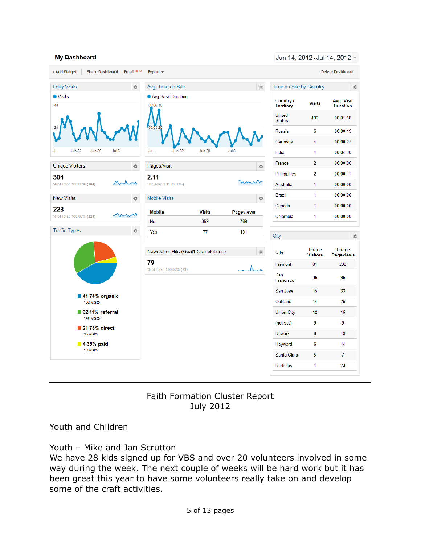#### My Dashboard

Jun 14, 2012 - Jul 14, 2012 -

| Email BETA<br>+ Add Widget<br><b>Share Dashboard</b> | Export $\sim$                            |               |                         |                                |                                  | <b>Delete Dashboard</b>           |  |
|------------------------------------------------------|------------------------------------------|---------------|-------------------------|--------------------------------|----------------------------------|-----------------------------------|--|
| <b>Daily Visits</b><br>收                             | Avg. Time on Site<br>森                   |               |                         |                                | Time on Site by Country<br>烧     |                                   |  |
| <b>O</b> Visits                                      | Avg. Visit Duration                      |               |                         | Country /                      | <b>Visits</b>                    | Avg. Visit                        |  |
| 40                                                   | 00:06:40                                 |               |                         | <b>Territory</b>               |                                  | <b>Duration</b>                   |  |
|                                                      |                                          |               |                         | <b>United</b><br><b>States</b> | 400                              | 00:01:58                          |  |
|                                                      | 00:03:20                                 |               |                         | Russia                         | 6                                | 00:00:19                          |  |
|                                                      |                                          |               |                         | Germany                        | $\overline{4}$                   | 00:00:27                          |  |
| <b>Jun 22</b><br><b>Jun 29</b><br>Jul 6<br>J         | Jun 22<br>Ju.,                           | <b>Jun 29</b> | Jul 6                   | India                          | 4                                | 00:04:30                          |  |
| <b>Unique Visitors</b><br>森                          | Pages/Visit                              |               |                         | France<br>寮                    | $\overline{2}$                   | 00:00:00                          |  |
| 304<br>$\sim$<br>% of Total: 100.00% (304)           | 2.11                                     |               |                         | Philippines                    | $\overline{2}$                   | 00:00:11                          |  |
|                                                      | Site Avg: 2.11 (0.00%)                   |               | mu                      | Australia                      | 1                                | 00:00:00                          |  |
| <b>New Visits</b><br>资                               | <b>Mobile Visits</b>                     |               |                         | Brazil<br>烧                    | 1                                | 00:00:00                          |  |
| 228                                                  |                                          | <b>Visits</b> |                         | Canada                         | $\mathbf{1}$                     | 00:00:00                          |  |
| % of Total: 100.00% (228)                            | <b>Mobile</b><br>No                      | 359           | <b>Pageviews</b><br>789 | Colombia                       | 1                                | 00:00:00                          |  |
| <b>Traffic Types</b><br>资                            | Yes                                      | 77            | 131                     | City                           |                                  | 烧                                 |  |
|                                                      | Newsletter Hits (Goal1 Completions)<br>森 |               |                         | City                           | <b>Unique</b><br><b>Visitors</b> | <b>Unique</b><br><b>Pageviews</b> |  |
|                                                      | 79                                       |               |                         | Fremont                        | 81                               | 238                               |  |
|                                                      | % of Total: 100.00% (79)                 |               |                         | San<br>Francisco               | 36                               | 96                                |  |
| 41.74% organic                                       |                                          |               |                         | San Jose                       | 15                               | 33                                |  |
| 182 Visits                                           |                                          |               |                         | Oakland                        | 14                               | 25                                |  |
| 32.11% referral<br>140 Visits                        |                                          |               |                         | <b>Union City</b>              | 12                               | 15                                |  |
| 21.78% direct                                        |                                          |               |                         | (not set)                      | 9                                | 9                                 |  |
| 95 Visits                                            |                                          |               |                         | <b>Newark</b>                  | 8                                | 19                                |  |
| 4.35% paid<br>19 Visits                              |                                          |               |                         | Hayward                        | 6                                | 14                                |  |
|                                                      |                                          |               |                         | Santa Clara                    | 5                                | $\overline{7}$                    |  |
|                                                      |                                          |               |                         |                                |                                  |                                   |  |

Faith Formation Cluster Report July 2012

Youth and Children

Youth – Mike and Jan Scrutton

We have 28 kids signed up for VBS and over 20 volunteers involved in some way during the week. The next couple of weeks will be hard work but it has been great this year to have some volunteers really take on and develop some of the craft activities.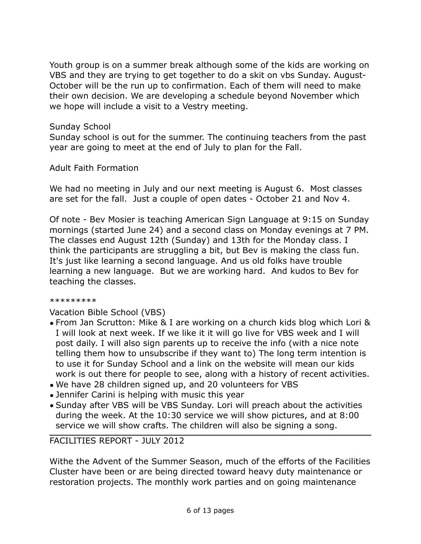Youth group is on a summer break although some of the kids are working on VBS and they are trying to get together to do a skit on vbs Sunday. August-October will be the run up to confirmation. Each of them will need to make their own decision. We are developing a schedule beyond November which we hope will include a visit to a Vestry meeting.

#### Sunday School

Sunday school is out for the summer. The continuing teachers from the past year are going to meet at the end of July to plan for the Fall.

#### Adult Faith Formation

We had no meeting in July and our next meeting is August 6. Most classes are set for the fall. Just a couple of open dates - October 21 and Nov 4.

Of note - Bev Mosier is teaching American Sign Language at 9:15 on Sunday mornings (started June 24) and a second class on Monday evenings at 7 PM. The classes end August 12th (Sunday) and 13th for the Monday class. I think the participants are struggling a bit, but Bev is making the class fun. It's just like learning a second language. And us old folks have trouble learning a new language. But we are working hard. And kudos to Bev for teaching the classes.

#### \*\*\*\*\*\*\*\*\*

Vacation Bible School (VBS)

- From Jan Scrutton: Mike & I are working on a church kids blog which Lori & I will look at next week. If we like it it will go live for VBS week and I will post daily. I will also sign parents up to receive the info (with a nice note telling them how to unsubscribe if they want to) The long term intention is to use it for Sunday School and a link on the website will mean our kids work is out there for people to see, along with a history of recent activities.
- We have 28 children signed up, and 20 volunteers for VBS
- Jennifer Carini is helping with music this year
- Sunday after VBS will be VBS Sunday. Lori will preach about the activities during the week. At the 10:30 service we will show pictures, and at 8:00 service we will show crafts. The children will also be signing a song.

#### FACILITIES REPORT - JULY 2012

Withe the Advent of the Summer Season, much of the efforts of the Facilities Cluster have been or are being directed toward heavy duty maintenance or restoration projects. The monthly work parties and on going maintenance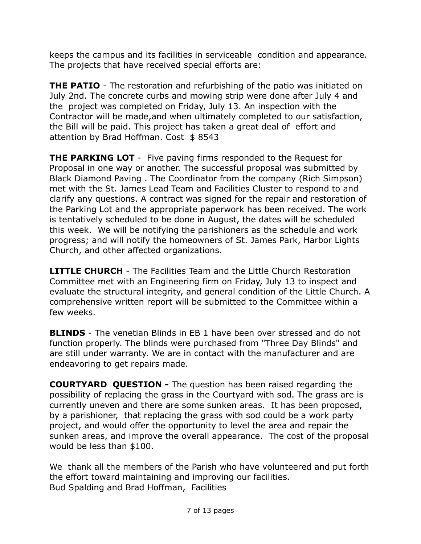keeps the campus and its facilities in serviceable condition and appearance. The projects that have received special efforts are:

**THE PATIO** - The restoration and refurbishing of the patio was initiated on July 2nd. The concrete curbs and mowing strip were done after July 4 and the project was completed on Friday, July 13. An inspection with the Contractor will be made,and when ultimately completed to our satisfaction, the Bill will be paid. This project has taken a great deal of effort and attention by Brad Hoffman. Cost \$8543

**THE PARKING LOT** - Five paving firms responded to the Request for Proposal in one way or another. The successful proposal was submitted by Black Diamond Paving . The Coordinator from the company (Rich Simpson) met with the St. James Lead Team and Facilities Cluster to respond to and clarify any questions. A contract was signed for the repair and restoration of the Parking Lot and the appropriate paperwork has been received. The work is tentatively scheduled to be done in August, the dates will be scheduled this week. We will be notifying the parishioners as the schedule and work progress; and will notify the homeowners of St. James Park, Harbor Lights Church, and other affected organizations.

**LITTLE CHURCH** - The Facilities Team and the Little Church Restoration Committee met with an Engineering firm on Friday, July 13 to inspect and evaluate the structural integrity, and general condition of the Little Church. A comprehensive written report will be submitted to the Committee within a few weeks.

**BLINDS** - The venetian Blinds in EB 1 have been over stressed and do not function properly. The blinds were purchased from "Three Day Blinds" and are still under warranty. We are in contact with the manufacturer and are endeavoring to get repairs made.

**COURTYARD QUESTION -** The question has been raised regarding the possibility of replacing the grass in the Courtyard with sod. The grass are is currently uneven and there are some sunken areas. It has been proposed, by a parishioner, that replacing the grass with sod could be a work party project, and would offer the opportunity to level the area and repair the sunken areas, and improve the overall appearance. The cost of the proposal would be less than \$100.

We thank all the members of the Parish who have volunteered and put forth the effort toward maintaining and improving our facilities. Bud Spalding and Brad Hoffman, Facilities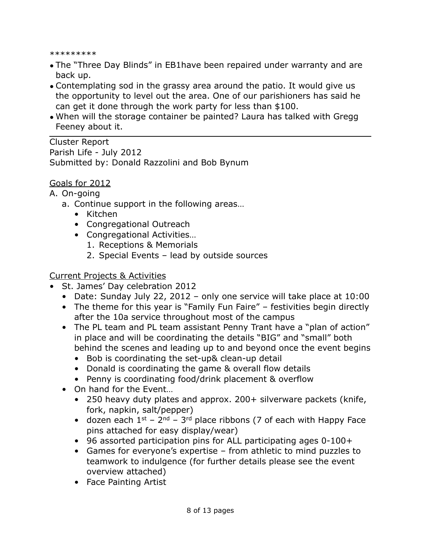\*\*\*\*\*\*\*\*\*

- The "Three Day Blinds" in EB1have been repaired under warranty and are back up.
- Contemplating sod in the grassy area around the patio. It would give us the opportunity to level out the area. One of our parishioners has said he can get it done through the work party for less than \$100.
- When will the storage container be painted? Laura has talked with Gregg Feeney about it.

Cluster Report Parish Life - July 2012 Submitted by: Donald Razzolini and Bob Bynum

## Goals for 2012

#### A. On-going

- a. Continue support in the following areas…
	- Kitchen
	- Congregational Outreach
	- Congregational Activities…
		- 1. Receptions & Memorials
		- 2. Special Events lead by outside sources

#### Current Projects & Activities

- St. James' Day celebration 2012
	- Date: Sunday July 22, 2012 only one service will take place at 10:00
	- The theme for this year is "Family Fun Faire" festivities begin directly after the 10a service throughout most of the campus
	- The PL team and PL team assistant Penny Trant have a "plan of action" in place and will be coordinating the details "BIG" and "small" both behind the scenes and leading up to and beyond once the event begins
		- Bob is coordinating the set-up& clean-up detail
		- Donald is coordinating the game & overall flow details
		- Penny is coordinating food/drink placement & overflow
	- On hand for the Event...
		- 250 heavy duty plates and approx. 200+ silverware packets (knife, fork, napkin, salt/pepper)
		- dozen each  $1^{st}$   $2^{nd}$   $3^{rd}$  place ribbons (7 of each with Happy Face pins attached for easy display/wear)
		- 96 assorted participation pins for ALL participating ages 0-100+
		- Games for everyone's expertise from athletic to mind puzzles to teamwork to indulgence (for further details please see the event overview attached)
		- Face Painting Artist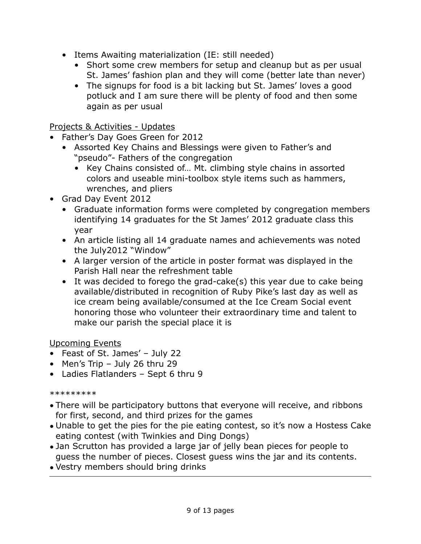- Items Awaiting materialization (IE: still needed)
	- Short some crew members for setup and cleanup but as per usual St. James' fashion plan and they will come (better late than never)
	- The signups for food is a bit lacking but St. James' loves a good potluck and I am sure there will be plenty of food and then some again as per usual

# Projects & Activities - Updates

- Father's Day Goes Green for 2012
	- Assorted Key Chains and Blessings were given to Father's and "pseudo"- Fathers of the congregation
		- Key Chains consisted of… Mt. climbing style chains in assorted colors and useable mini-toolbox style items such as hammers, wrenches, and pliers
- Grad Day Event 2012
	- Graduate information forms were completed by congregation members identifying 14 graduates for the St James' 2012 graduate class this year
	- An article listing all 14 graduate names and achievements was noted the July2012 "Window"
	- A larger version of the article in poster format was displayed in the Parish Hall near the refreshment table
	- It was decided to forego the grad-cake(s) this year due to cake being available/distributed in recognition of Ruby Pike's last day as well as ice cream being available/consumed at the Ice Cream Social event honoring those who volunteer their extraordinary time and talent to make our parish the special place it is

# Upcoming Events

- Feast of St. James' July 22
- Men's Trip July 26 thru 29
- Ladies Flatlanders Sept 6 thru 9

#### \*\*\*\*\*\*\*\*\*

- There will be participatory buttons that everyone will receive, and ribbons for first, second, and third prizes for the games
- Unable to get the pies for the pie eating contest, so it's now a Hostess Cake eating contest (with Twinkies and Ding Dongs)
- Jan Scrutton has provided a large jar of jelly bean pieces for people to guess the number of pieces. Closest guess wins the jar and its contents.
- Vestry members should bring drinks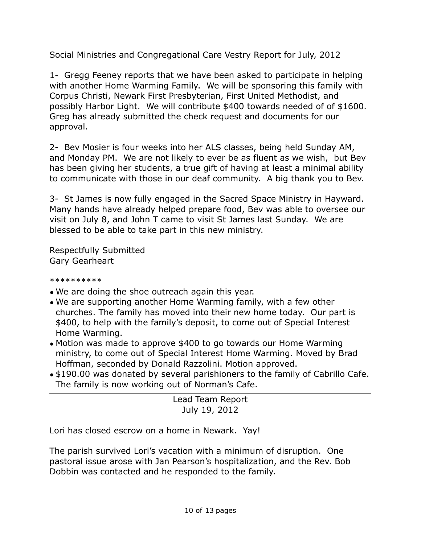Social Ministries and Congregational Care Vestry Report for July, 2012

1- Gregg Feeney reports that we have been asked to participate in helping with another Home Warming Family. We will be sponsoring this family with Corpus Christi, Newark First Presbyterian, First United Methodist, and possibly Harbor Light. We will contribute \$400 towards needed of of \$1600. Greg has already submitted the check request and documents for our approval.

2- Bev Mosier is four weeks into her ALS classes, being held Sunday AM, and Monday PM. We are not likely to ever be as fluent as we wish, but Bev has been giving her students, a true gift of having at least a minimal ability to communicate with those in our deaf community. A big thank you to Bev.

3- St James is now fully engaged in the Sacred Space Ministry in Hayward. Many hands have already helped prepare food, Bev was able to oversee our visit on July 8, and John T came to visit St James last Sunday. We are blessed to be able to take part in this new ministry.

Respectfully Submitted Gary Gearheart

\*\*\*\*\*\*\*\*\*\*

- We are doing the shoe outreach again this year.
- We are supporting another Home Warming family, with a few other churches. The family has moved into their new home today. Our part is \$400, to help with the family's deposit, to come out of Special Interest Home Warming.
- Motion was made to approve \$400 to go towards our Home Warming ministry, to come out of Special Interest Home Warming. Moved by Brad Hoffman, seconded by Donald Razzolini. Motion approved.
- \$190.00 was donated by several parishioners to the family of Cabrillo Cafe. The family is now working out of Norman's Cafe.

Lead Team Report July 19, 2012

Lori has closed escrow on a home in Newark. Yay!

The parish survived Lori's vacation with a minimum of disruption. One pastoral issue arose with Jan Pearson's hospitalization, and the Rev. Bob Dobbin was contacted and he responded to the family.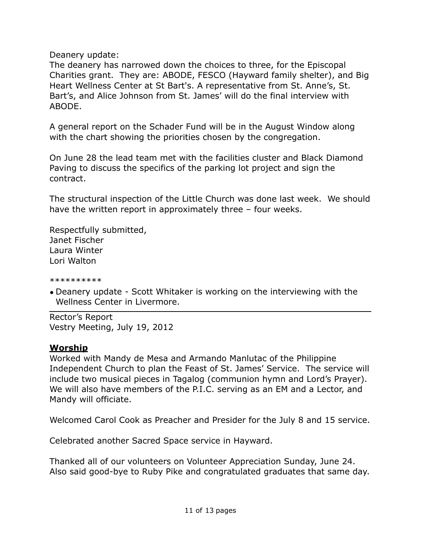Deanery update:

The deanery has narrowed down the choices to three, for the Episcopal Charities grant. They are: ABODE, FESCO (Hayward family shelter), and Big Heart Wellness Center at St Bart's. A representative from St. Anne's, St. Bart's, and Alice Johnson from St. James' will do the final interview with ABODE.

A general report on the Schader Fund will be in the August Window along with the chart showing the priorities chosen by the congregation.

On June 28 the lead team met with the facilities cluster and Black Diamond Paving to discuss the specifics of the parking lot project and sign the contract.

The structural inspection of the Little Church was done last week. We should have the written report in approximately three – four weeks.

Respectfully submitted, Janet Fischer Laura Winter Lori Walton

\*\*\*\*\*\*\*\*\*\*

• Deanery update - Scott Whitaker is working on the interviewing with the Wellness Center in Livermore.

Rector's Report Vestry Meeting, July 19, 2012

# **Worship**

Worked with Mandy de Mesa and Armando Manlutac of the Philippine Independent Church to plan the Feast of St. James' Service. The service will include two musical pieces in Tagalog (communion hymn and Lord's Prayer). We will also have members of the P.I.C. serving as an EM and a Lector, and Mandy will officiate.

Welcomed Carol Cook as Preacher and Presider for the July 8 and 15 service.

Celebrated another Sacred Space service in Hayward.

Thanked all of our volunteers on Volunteer Appreciation Sunday, June 24. Also said good-bye to Ruby Pike and congratulated graduates that same day.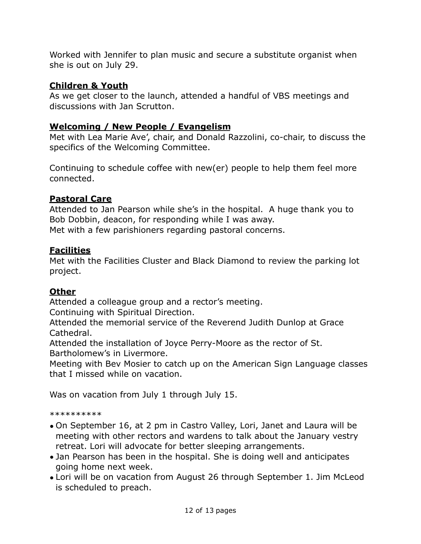Worked with Jennifer to plan music and secure a substitute organist when she is out on July 29.

## **Children & Youth**

As we get closer to the launch, attended a handful of VBS meetings and discussions with Jan Scrutton.

# **Welcoming / New People / Evangelism**

Met with Lea Marie Ave', chair, and Donald Razzolini, co-chair, to discuss the specifics of the Welcoming Committee.

Continuing to schedule coffee with new(er) people to help them feel more connected.

# **Pastoral Care**

Attended to Jan Pearson while she's in the hospital. A huge thank you to Bob Dobbin, deacon, for responding while I was away. Met with a few parishioners regarding pastoral concerns.

## **Facilities**

Met with the Facilities Cluster and Black Diamond to review the parking lot project.

# **Other**

Attended a colleague group and a rector's meeting.

Continuing with Spiritual Direction.

Attended the memorial service of the Reverend Judith Dunlop at Grace Cathedral.

Attended the installation of Joyce Perry-Moore as the rector of St. Bartholomew's in Livermore.

Meeting with Bev Mosier to catch up on the American Sign Language classes that I missed while on vacation.

Was on vacation from July 1 through July 15.

\*\*\*\*\*\*\*\*\*\*

- On September 16, at 2 pm in Castro Valley, Lori, Janet and Laura will be meeting with other rectors and wardens to talk about the January vestry retreat. Lori will advocate for better sleeping arrangements.
- Jan Pearson has been in the hospital. She is doing well and anticipates going home next week.
- Lori will be on vacation from August 26 through September 1. Jim McLeod is scheduled to preach.